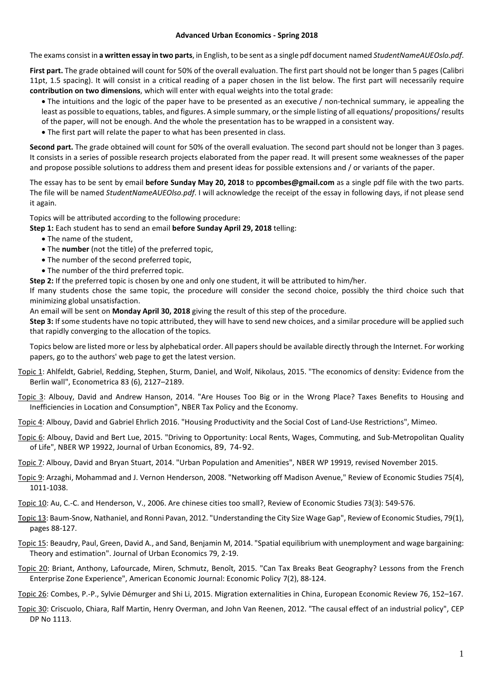## **Advanced Urban Economics - Spring 2018**

The exams consist in **a written essay in two parts**, in English, to be sent as a single pdf document named *StudentNameAUEOslo.pdf*.

**First part.** The grade obtained will count for 50% of the overall evaluation. The first part should not be longer than 5 pages (Calibri 11pt, 1.5 spacing). It will consist in a critical reading of a paper chosen in the list below. The first part will necessarily require **contribution on two dimensions**, which will enter with equal weights into the total grade:

- The intuitions and the logic of the paper have to be presented as an executive / non-technical summary, ie appealing the least as possible to equations, tables, and figures. A simple summary, or the simple listing of all equations/ propositions/results of the paper, will not be enough. And the whole the presentation has to be wrapped in a consistent way.
- The first part will relate the paper to what has been presented in class.

**Second part.** The grade obtained will count for 50% of the overall evaluation. The second part should not be longer than 3 pages. It consists in a series of possible research projects elaborated from the paper read. It will present some weaknesses of the paper and propose possible solutions to address them and present ideas for possible extensions and / or variants of the paper.

The essay has to be sent by email **before Sunday May 20, 2018** to **ppcombes@gmail.com** as a single pdf file with the two parts. The file will be named *StudentNameAUEOlso.pdf*. I will acknowledge the receipt of the essay in following days, if not please send it again.

Topics will be attributed according to the following procedure:

- **Step 1:** Each student has to send an email **before Sunday April 29, 2018** telling:
	- The name of the student,
	- The **number** (not the title) of the preferred topic,
	- The number of the second preferred topic,
	- The number of the third preferred topic.

**Step 2:** If the preferred topic is chosen by one and only one student, it will be attributed to him/her.

If many students chose the same topic, the procedure will consider the second choice, possibly the third choice such that minimizing global unsatisfaction.

An email will be sent on **Monday April 30, 2018** giving the result of this step of the procedure.

**Step 3:** If some students have no topic attributed, they will have to send new choices, and a similar procedure will be applied such that rapidly converging to the allocation of the topics.

Topics below are listed more or less by alphebatical order. All papers should be available directly through the Internet. For working papers, go to the authors' web page to get the latest version.

- Topic 1: Ahlfeldt, Gabriel, Redding, Stephen, Sturm, Daniel, and Wolf, Nikolaus, 2015. "The economics of density: Evidence from the Berlin wall", Econometrica 83 (6), 2127–2189.
- Topic 3: Albouy, David and Andrew Hanson, 2014. "Are Houses Too Big or in the Wrong Place? Taxes Benefits to Housing and Inefficiencies in Location and Consumption", NBER Tax Policy and the Economy.
- Topic 4: Albouy, David and Gabriel Ehrlich 2016. "Housing Productivity and the Social Cost of Land-Use Restrictions", Mimeo.
- Topic 6: Albouy, David and Bert Lue, 2015. "Driving to Opportunity: Local Rents, Wages, Commuting, and Sub-Metropolitan Quality of Life", NBER WP 19922, Journal of Urban Economics, 89, 74-92.
- Topic 7: Albouy, David and Bryan Stuart, 2014. "Urban Population and Amenities", NBER WP 19919, revised November 2015.
- Topic 9: Arzaghi, Mohammad and J. Vernon Henderson, 2008. "Networking off Madison Avenue," Review of Economic Studies 75(4), 1011-1038.
- Topic 10: Au, C.-C. and Henderson, V., 2006. Are chinese cities too small?, Review of Economic Studies 73(3): 549-576.
- Topic 13: Baum-Snow, Nathaniel, and Ronni Pavan, 2012. "Understanding the City Size Wage Gap", Review of Economic Studies, 79(1), pages 88-127.
- Topic 15: Beaudry, Paul, Green, David A., and Sand, Benjamin M, 2014. "Spatial equilibrium with unemployment and wage bargaining: Theory and estimation". Journal of Urban Economics 79, 2-19.
- Topic 20: Briant, Anthony, Lafourcade, Miren, Schmutz, Benoît, 2015. "Can Tax Breaks Beat Geography? Lessons from the French Enterprise Zone Experience", American Economic Journal: Economic Policy 7(2), 88-124.
- Topic 26: Combes, P.-P., Sylvie Démurger and Shi Li, 2015. Migration externalities in China, European Economic Review 76, 152–167.
- Topic 30: Criscuolo, Chiara, Ralf Martin, Henry Overman, and John Van Reenen, 2012. "The causal effect of an industrial policy", CEP DP No 1113.